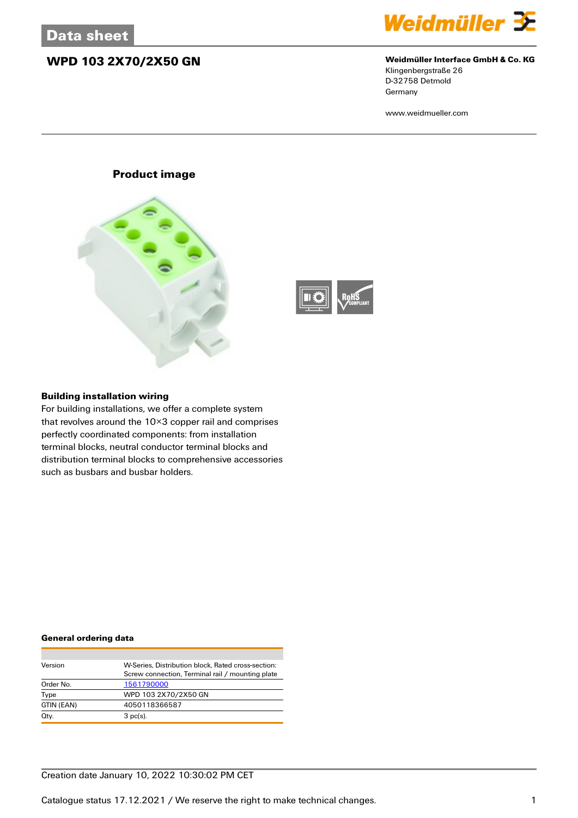## **WPD 103 2X70/2X50 GN Weidmüller Interface GmbH & Co. KG**



Klingenbergstraße 26 D-32758 Detmold **Germany** 

www.weidmueller.com

### **Product image**





### **Building installation wiring**

For building installations, we offer a complete system that revolves around the 10×3 copper rail and comprises perfectly coordinated components: from installation terminal blocks, neutral conductor terminal blocks and distribution terminal blocks to comprehensive accessories such as busbars and busbar holders.

### **General ordering data**

| Version    | W-Series. Distribution block. Rated cross-section: |
|------------|----------------------------------------------------|
|            | Screw connection, Terminal rail / mounting plate   |
| Order No.  | 1561790000                                         |
| Type       | WPD 103 2X70/2X50 GN                               |
| GTIN (EAN) | 4050118366587                                      |
| Qty.       | $3$ pc(s).                                         |

### Creation date January 10, 2022 10:30:02 PM CET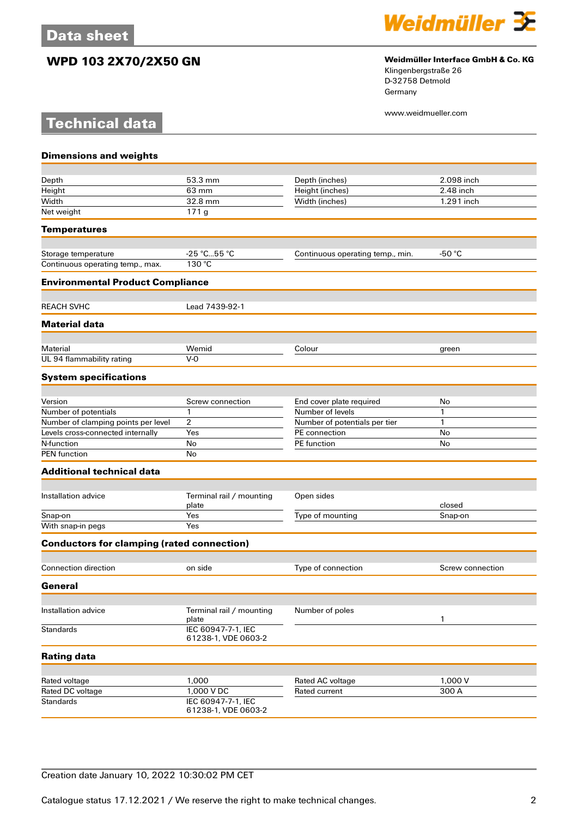**Technical data**



## **WPD 103 2X70/2X50 GN Weidmüller Interface GmbH & Co. KG**

Klingenbergstraße 26 D-32758 Detmold Germany

www.weidmueller.com

| <b>Dimensions and weights</b>                     |                                           |                                   |                  |
|---------------------------------------------------|-------------------------------------------|-----------------------------------|------------------|
|                                                   |                                           |                                   |                  |
| Depth                                             | 53.3 mm                                   | Depth (inches)                    | 2.098 inch       |
| Height                                            | 63 mm                                     | Height (inches)                   | 2.48 inch        |
| Width                                             | 32.8 mm                                   | Width (inches)                    | 1.291 inch       |
| Net weight                                        | 171g                                      |                                   |                  |
| <b>Temperatures</b>                               |                                           |                                   |                  |
| Storage temperature                               | $-25 °C55 °C$                             | Continuous operating temp., min.  | $-50 °C$         |
| Continuous operating temp., max.                  | 130 °C                                    |                                   |                  |
| <b>Environmental Product Compliance</b>           |                                           |                                   |                  |
| <b>REACH SVHC</b>                                 | Lead 7439-92-1                            |                                   |                  |
| <b>Material data</b>                              |                                           |                                   |                  |
| Material                                          | Wemid                                     | Colour                            |                  |
| UL 94 flammability rating                         | $V - Q$                                   |                                   | green            |
| <b>System specifications</b>                      |                                           |                                   |                  |
|                                                   |                                           |                                   |                  |
| Version                                           | Screw connection                          | End cover plate required          | No               |
| Number of potentials                              | 1                                         | Number of levels                  | 1                |
| Number of clamping points per level               | 2                                         | Number of potentials per tier     | 1                |
| Levels cross-connected internally                 | Yes                                       | PE connection                     | No               |
| N-function                                        | No                                        | PE function                       | No               |
| <b>PEN</b> function                               | No                                        |                                   |                  |
| <b>Additional technical data</b>                  |                                           |                                   |                  |
| Installation advice                               | Terminal rail / mounting                  | Open sides                        |                  |
|                                                   | plate                                     |                                   | closed           |
| Snap-on                                           | Yes                                       | Type of mounting                  | Snap-on          |
| With snap-in pegs                                 | Yes                                       |                                   |                  |
| <b>Conductors for clamping (rated connection)</b> |                                           |                                   |                  |
| Connection direction                              | on side                                   | Type of connection                | Screw connection |
| General                                           |                                           |                                   |                  |
|                                                   |                                           |                                   |                  |
| Installation advice                               | Terminal rail / mounting<br>plate         | Number of poles                   | 1                |
| <b>Standards</b>                                  | IEC 60947-7-1, IEC<br>61238-1, VDE 0603-2 |                                   |                  |
| <b>Rating data</b>                                |                                           |                                   |                  |
|                                                   |                                           |                                   |                  |
| Rated voltage<br>Rated DC voltage                 | 1,000<br>1,000 V DC                       | Rated AC voltage<br>Rated current | 1,000 V<br>300 A |
| <b>Standards</b>                                  | IEC 60947-7-1, IEC                        |                                   |                  |
|                                                   | 61238-1, VDE 0603-2                       |                                   |                  |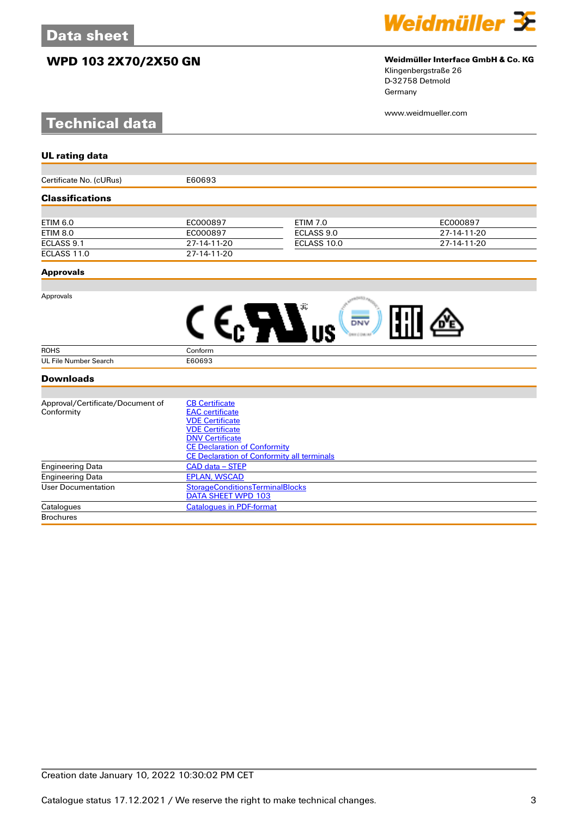## **WPD 103 2X70/2X50 GN Weidmüller Interface GmbH & Co. KG**

# **Technical data**



Klingenbergstraße 26 D-32758 Detmold Germany

www.weidmueller.com

| <b>UL rating data</b>            |                                                   |                 |             |
|----------------------------------|---------------------------------------------------|-----------------|-------------|
|                                  |                                                   |                 |             |
| Certificate No. (cURus)          | E60693                                            |                 |             |
| <b>Classifications</b>           |                                                   |                 |             |
|                                  |                                                   |                 |             |
| <b>ETIM 6.0</b>                  | EC000897                                          | <b>ETIM 7.0</b> | EC000897    |
| <b>ETIM 8.0</b>                  | EC000897                                          | ECLASS 9.0      | 27-14-11-20 |
| ECLASS 9.1                       | 27-14-11-20                                       | ECLASS 10.0     | 27-14-11-20 |
| ECLASS 11.0                      | 27-14-11-20                                       |                 |             |
| <b>Approvals</b>                 |                                                   |                 |             |
|                                  |                                                   |                 |             |
| Approvals                        |                                                   |                 |             |
|                                  |                                                   |                 |             |
|                                  |                                                   | DNV             |             |
|                                  |                                                   |                 |             |
| <b>ROHS</b>                      | Conform                                           |                 |             |
| <b>UL File Number Search</b>     | E60693                                            |                 |             |
| <b>Downloads</b>                 |                                                   |                 |             |
|                                  |                                                   |                 |             |
| Approval/Certificate/Document of | <b>CB Certificate</b>                             |                 |             |
| Conformity                       | <b>EAC</b> certificate                            |                 |             |
|                                  | <b>VDE Certificate</b>                            |                 |             |
|                                  | <b>VDE Certificate</b>                            |                 |             |
|                                  | <b>DNV Certificate</b>                            |                 |             |
|                                  | <b>CE Declaration of Conformity</b>               |                 |             |
|                                  | <b>CE Declaration of Conformity all terminals</b> |                 |             |
| <b>Engineering Data</b>          | <b>CAD data - STEP</b>                            |                 |             |
| <b>Engineering Data</b>          | <b>EPLAN, WSCAD</b>                               |                 |             |
| <b>User Documentation</b>        | <b>StorageConditionsTerminalBlocks</b>            |                 |             |
|                                  | DATA SHEET WPD 103                                |                 |             |

Catalogues [Catalogues in PDF-format](http://catalog.weidmueller.com/assets/LINK/Catalog.html)

**Brochures**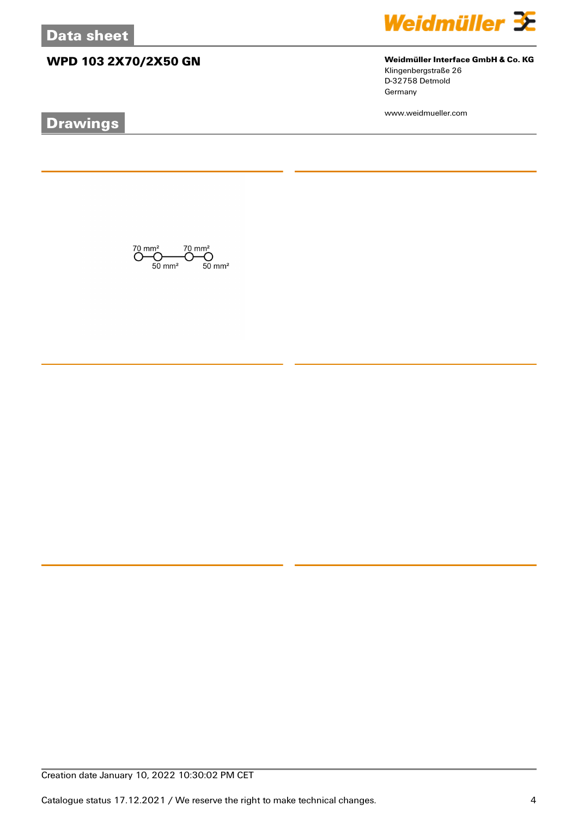## **WPD 103 2X70/2X50 GN Weidmüller Interface GmbH & Co. KG**

# **Drawings**



Klingenbergstraße 26 D-32758 Detmold Germany

www.weidmueller.com

 $\overline{\text{O}}_{50 \text{ mm}^2}^{\text{70 mm}^2} \overline{\text{O}}_{50 \text{ mm}^2}^{\text{70 mm}^2} \overline{\text{O}}_{50 \text{ mm}^2}^{\text{70 mm}^2}$ 

Creation date January 10, 2022 10:30:02 PM CET

Catalogue status 17.12.2021 / We reserve the right to make technical changes. 4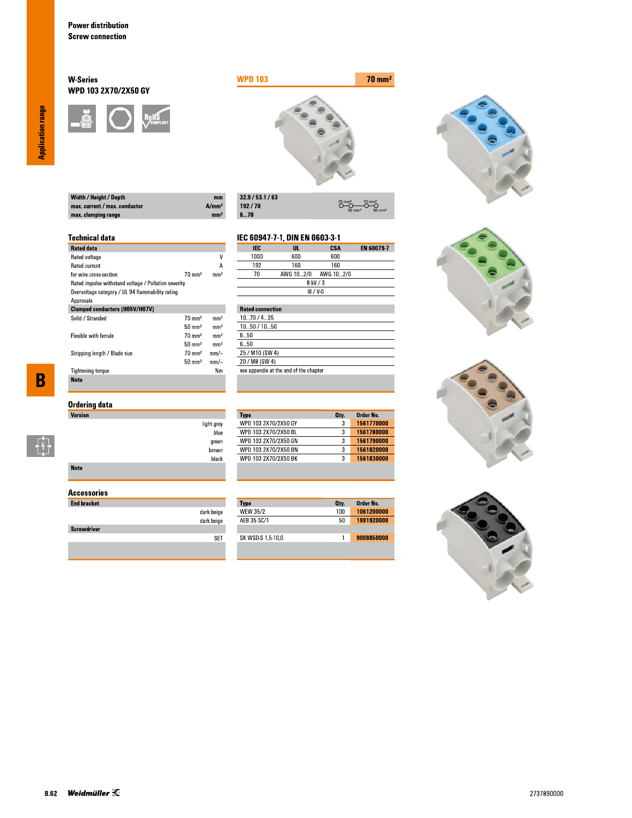### **W-Series** WPD 103 2X70/2X50 GY





 $\overline{\overset{70}{\bigcirc}}$ 

**CSA**<br>600

 $O \rightarrow O$ 

EN 60079-7

| Width / Height / Depth        | mm                |
|-------------------------------|-------------------|
| max. current / max. conductor | A/mm <sup>2</sup> |
| max. clamping range           | mm <sup>2</sup>   |

| 32.9/53.1/63 |
|--------------|
| 192/70       |
| 670          |

IEC

 $1000$ 

light grey blue

green  $brown$ black IEC 60947-7-1, DIN EN 0603-3-1

 $\frac{UL}{600}$ 

## **Technical data**

| <b>Rated data</b>                                    |                   |                 |
|------------------------------------------------------|-------------------|-----------------|
| Rated voltage                                        |                   | ۷               |
| <b>Rated current</b>                                 |                   | А               |
| for wire cross-section                               | $70 \text{ mm}^2$ | mm <sup>2</sup> |
| Rated impulse withstand voltage / Pollution severity |                   |                 |
| Overvoltage category / UL 94 flammability rating     |                   |                 |
| Approvals                                            |                   |                 |
| <b>Clamped conductors (H05V/H07V)</b>                |                   |                 |
| Solid / Stranded                                     | $70 \text{ mm}^2$ | mm <sup>2</sup> |
|                                                      | $50 \text{ mm}^2$ | mm <sup>2</sup> |
| <b>Flexible with ferrule</b>                         | $70 \text{ mm}^2$ | mm <sup>2</sup> |
|                                                      | $50 \text{ mm}^2$ | mm <sup>2</sup> |
| Stripping length / Blade size                        | $70 \text{ mm}^2$ | mm/-            |
|                                                      | $50 \text{ mm}^2$ | mm/-            |
| <b>Tightening torque</b>                             |                   | Nm              |
| <b>Note</b>                                          |                   |                 |

 $\overline{\mathbf{B}}$ 

 $\begin{bmatrix} 1 \\ 1 \\ 1 \end{bmatrix}$ 

| Ordering data |  |
|---------------|--|
| Version       |  |

| <b>Note</b> |  |  |  |
|-------------|--|--|--|

### **Accessories**

| <b>End bracket</b> |            |
|--------------------|------------|
|                    | dark beige |
|                    | dark beige |
| <b>Screwdriver</b> |            |
|                    |            |
|                    |            |

| 192                     | 160       | 160         |  |
|-------------------------|-----------|-------------|--|
| 7Π                      | AWG 102/0 | AWG 10…2/0  |  |
|                         |           | 8 kV / 3    |  |
|                         |           | $III / V-0$ |  |
|                         |           |             |  |
| <b>Rated connection</b> |           |             |  |
|                         |           |             |  |

| 1070/435                               |
|----------------------------------------|
| 1050 / 1050                            |
| 650                                    |
| 6 5Ո                                   |
| 25 / M10 (SW 4)                        |
| 20 / M8 (SW 4)                         |
| see appendix at the end of the chapter |
|                                        |

| 3<br>3 | 1561770000 |
|--------|------------|
|        |            |
|        | 1561780000 |
| 3      | 1561790000 |
| 3      | 1561820000 |
| 3      | 1561830000 |
|        |            |

| <b>Type</b>       | Oty. | Order No.  |
|-------------------|------|------------|
| <b>WEW 35/2</b>   | 100  | 1061200000 |
| AFB 35 SC/1       | 50   | 1991920000 |
|                   |      |            |
| SK WSD-S 1,5-10,0 |      | 9008850000 |